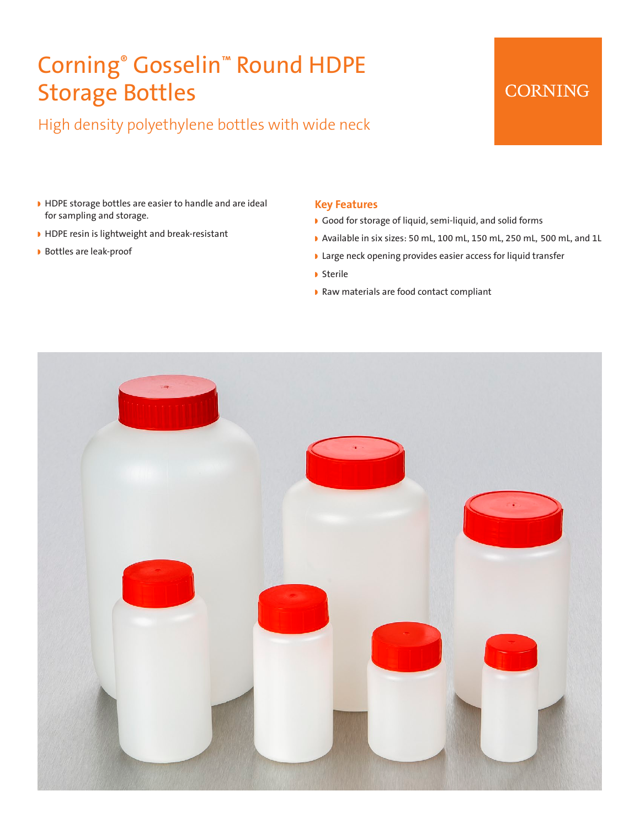# Corning® Gosselin™ Round HDPE Storage Bottles

High density polyethylene bottles with wide neck

### **CORNING**

- HDPE storage bottles are easier to handle and are ideal for sampling and storage.
- w HDPE resin is lightweight and break-resistant
- **Bottles are leak-proof**

#### **Key Features**

- Good for storage of liquid, semi-liquid, and solid forms
- w Available in six sizes: 50 mL, 100 mL, 150 mL, 250 mL, 500 mL, and 1L
- **I** Large neck opening provides easier access for liquid transfer
- **D** Sterile
- Raw materials are food contact compliant